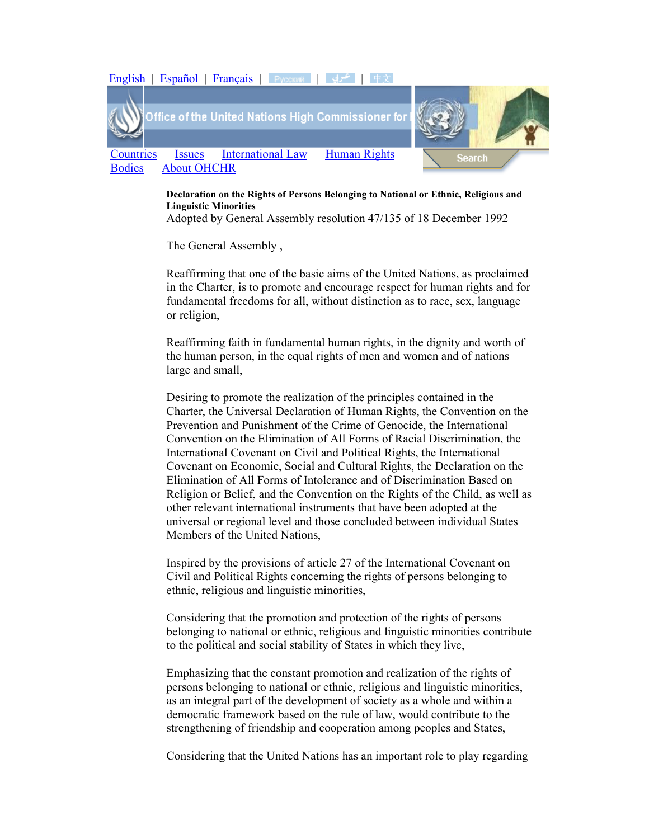

Declaration on the Rights of Persons Belonging to National or Ethnic, Religious and Linguistic Minorities

Adopted by General Assembly resolution 47/135 of 18 December 1992

The General Assembly ,

Reaffirming that one of the basic aims of the United Nations, as proclaimed in the Charter, is to promote and encourage respect for human rights and for fundamental freedoms for all, without distinction as to race, sex, language or religion,

Reaffirming faith in fundamental human rights, in the dignity and worth of the human person, in the equal rights of men and women and of nations large and small,

Desiring to promote the realization of the principles contained in the Charter, the Universal Declaration of Human Rights, the Convention on the Prevention and Punishment of the Crime of Genocide, the International Convention on the Elimination of All Forms of Racial Discrimination, the International Covenant on Civil and Political Rights, the International Covenant on Economic, Social and Cultural Rights, the Declaration on the Elimination of All Forms of Intolerance and of Discrimination Based on Religion or Belief, and the Convention on the Rights of the Child, as well as other relevant international instruments that have been adopted at the universal or regional level and those concluded between individual States Members of the United Nations,

Inspired by the provisions of article 27 of the International Covenant on Civil and Political Rights concerning the rights of persons belonging to ethnic, religious and linguistic minorities,

Considering that the promotion and protection of the rights of persons belonging to national or ethnic, religious and linguistic minorities contribute to the political and social stability of States in which they live,

Emphasizing that the constant promotion and realization of the rights of persons belonging to national or ethnic, religious and linguistic minorities, as an integral part of the development of society as a whole and within a democratic framework based on the rule of law, would contribute to the strengthening of friendship and cooperation among peoples and States,

Considering that the United Nations has an important role to play regarding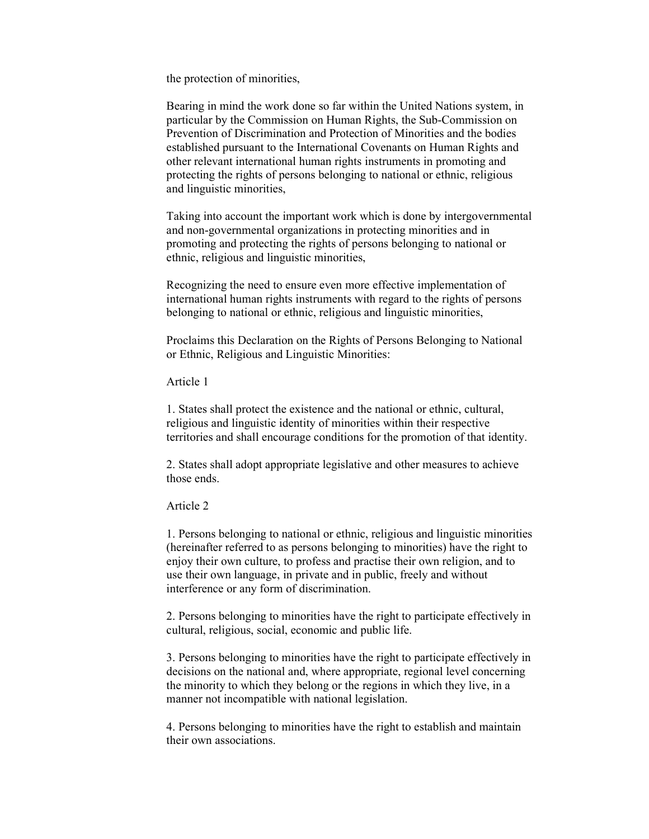the protection of minorities,

Bearing in mind the work done so far within the United Nations system, in particular by the Commission on Human Rights, the Sub-Commission on Prevention of Discrimination and Protection of Minorities and the bodies established pursuant to the International Covenants on Human Rights and other relevant international human rights instruments in promoting and protecting the rights of persons belonging to national or ethnic, religious and linguistic minorities,

Taking into account the important work which is done by intergovernmental and non-governmental organizations in protecting minorities and in promoting and protecting the rights of persons belonging to national or ethnic, religious and linguistic minorities,

Recognizing the need to ensure even more effective implementation of international human rights instruments with regard to the rights of persons belonging to national or ethnic, religious and linguistic minorities,

Proclaims this Declaration on the Rights of Persons Belonging to National or Ethnic, Religious and Linguistic Minorities:

Article 1

1. States shall protect the existence and the national or ethnic, cultural, religious and linguistic identity of minorities within their respective territories and shall encourage conditions for the promotion of that identity.

2. States shall adopt appropriate legislative and other measures to achieve those ends.

Article 2

1. Persons belonging to national or ethnic, religious and linguistic minorities (hereinafter referred to as persons belonging to minorities) have the right to enjoy their own culture, to profess and practise their own religion, and to use their own language, in private and in public, freely and without interference or any form of discrimination.

2. Persons belonging to minorities have the right to participate effectively in cultural, religious, social, economic and public life.

3. Persons belonging to minorities have the right to participate effectively in decisions on the national and, where appropriate, regional level concerning the minority to which they belong or the regions in which they live, in a manner not incompatible with national legislation.

4. Persons belonging to minorities have the right to establish and maintain their own associations.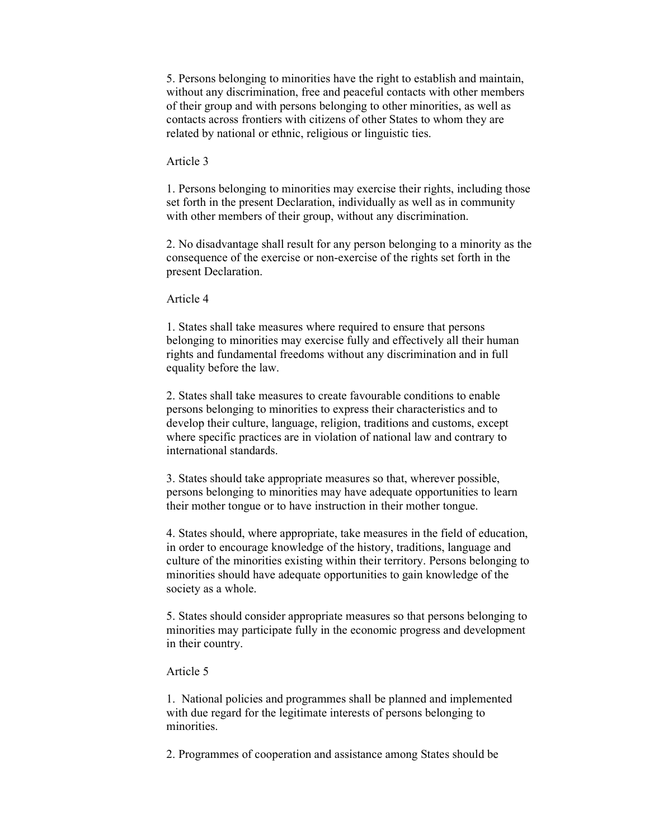5. Persons belonging to minorities have the right to establish and maintain, without any discrimination, free and peaceful contacts with other members of their group and with persons belonging to other minorities, as well as contacts across frontiers with citizens of other States to whom they are related by national or ethnic, religious or linguistic ties.

## Article 3

1. Persons belonging to minorities may exercise their rights, including those set forth in the present Declaration, individually as well as in community with other members of their group, without any discrimination.

2. No disadvantage shall result for any person belonging to a minority as the consequence of the exercise or non-exercise of the rights set forth in the present Declaration.

## Article 4

1. States shall take measures where required to ensure that persons belonging to minorities may exercise fully and effectively all their human rights and fundamental freedoms without any discrimination and in full equality before the law.

2. States shall take measures to create favourable conditions to enable persons belonging to minorities to express their characteristics and to develop their culture, language, religion, traditions and customs, except where specific practices are in violation of national law and contrary to international standards.

3. States should take appropriate measures so that, wherever possible, persons belonging to minorities may have adequate opportunities to learn their mother tongue or to have instruction in their mother tongue.

4. States should, where appropriate, take measures in the field of education, in order to encourage knowledge of the history, traditions, language and culture of the minorities existing within their territory. Persons belonging to minorities should have adequate opportunities to gain knowledge of the society as a whole.

5. States should consider appropriate measures so that persons belonging to minorities may participate fully in the economic progress and development in their country.

## Article 5

1. National policies and programmes shall be planned and implemented with due regard for the legitimate interests of persons belonging to minorities.

2. Programmes of cooperation and assistance among States should be